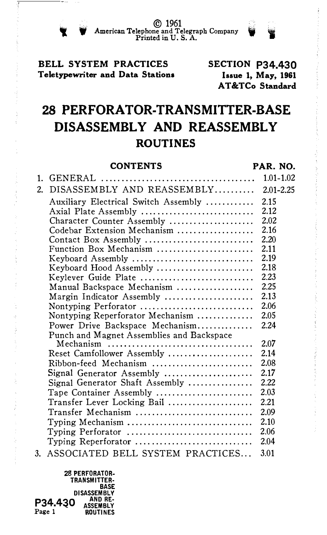© 1961 W American Telephone and Telegraph Company I Printed in U.S. A.

## BELL SYSTEM PRACTICES Teletypewriter and Data Stations

SECTION P34.430 Issue 1, May, 1961 AT &TCo Standard

# 28 PERFORATOR-TRANSMITTER-BASE DISASSEMBLY AND REASSEMBLY ROUTINES

|                  | <b>CONTENTS</b>                                                        | PAR. NO.      |
|------------------|------------------------------------------------------------------------|---------------|
| 1.               |                                                                        | $1.01 - 1.02$ |
| $\overline{2}$ . | DISASSEMBLY AND REASSEMBLY                                             | $2.01 - 2.25$ |
|                  | Auxiliary Electrical Switch Assembly                                   | 2.15          |
|                  | Axial Plate Assembly                                                   | 2.12          |
|                  | Character Counter Assembly                                             | 2.02          |
|                  | Codebar Extension Mechanism                                            | 2.16          |
|                  | Contact Box Assembly                                                   | 2.20          |
|                  | Function Box Mechanism                                                 | 2.11          |
|                  | Keyboard Assembly $\dots\dots\dots\dots\dots\dots\dots\dots\dots\dots$ | 2.19          |
|                  | Keyboard Hood Assembly                                                 | 2.18          |
|                  | Keylever Guide Plate                                                   | 2.23          |
|                  | Manual Backspace Mechanism                                             | 2.25          |
|                  | Margin Indicator Assembly                                              | 2.13          |
|                  | Nontyping Perforator                                                   | 2.06          |
|                  | Nontyping Reperforator Mechanism                                       | 2.05          |
|                  | Power Drive Backspace Mechanism                                        | 2.24          |
|                  | Punch and Magnet Assemblies and Backspace                              |               |
|                  |                                                                        | 2.07          |
|                  | Reset Camfollower Assembly                                             | 2.14          |
|                  | Ribbon-feed Mechanism                                                  | 2.08          |
|                  | Signal Generator Assembly                                              | 2.17          |
|                  | Signal Generator Shaft Assembly                                        | 2.22          |
|                  | Tape Container Assembly                                                | 2.03          |
|                  | Transfer Lever Locking Bail                                            | 2.21          |
|                  | Transfer Mechanism                                                     | 2.09          |
|                  | Typing Mechanism                                                       | 2.10          |
|                  | Typing Perforator                                                      | 2.06          |
|                  | Typing Reperforator                                                    | 2.04          |
| 3.               | ASSOCIATED BELL SYSTEM PRACTICES                                       | 3.01          |

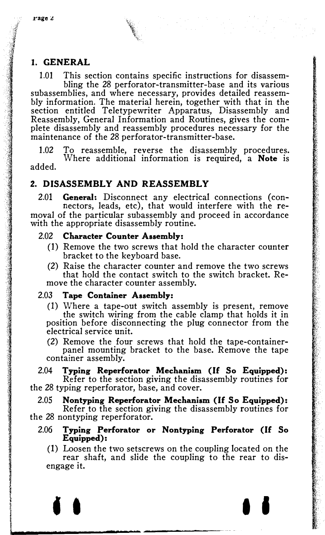$\frac{1}{2}$ : 

\1' �;

·�

**International Control of the Control of States and Technology**<br>International Control of Technology<br>
International Control of Technology<br>
International Control of Technology<br>
International Control of Technology<br>
Internatio

I I

**International Control**<br>International Control<br>International Control<br>International Control

## 1. GENERAL

1.01 This section contains specific instructions for disassembling the 28 perforator-transmitter-base and its various subassemblies, and where necessary, provides detailed reassembly information. The material herein, together with that in the section entitled Teletypewriter Apparatus, Disassembly and Reassembly, General Information and Routines, gives the complete disassembly and reassembly procedures necessary for the maintenance of the 28 perforator-transmitter-base.

1.02 To reassemble, reverse the disassembly procedures. Where additional information is required, a Note is added.

## 2. DISASSEMBLY AND REASSEMBLY

2.01 **General:** Disconnect any electrical connections (connectors, leads, etc), that would interfere with the removal of the particular subassembly and proceed in accordance with the appropriate disassembly routine.

## 2.02 Character Counter Assembly:

- (1) Remove the two screws that hold the character counter bracket to the keyboard base.
- (2) Raise the character counter and remove the two screws that hold the contact switch to the switch bracket. Remove the character counter assembly.

## 2.03 Tape Container Assembly:

(1) Where a tape-out switch assembly is present, remove the switch wiring from the cable clamp that holds it in position before disconnecting the plug connector from the electrical service unit.

(2) Remove the four screws that hold the tape-containerpanel mounting bracket to the base. Remove the tape container assembly.

2.04 Typing Reperforator Mechanism (If So Equipped): Refer to the section giving the disassembly routines for the 28 typing reperforator, base, and cover.

2.05 Nontyping Reperforator Mechanism (If So Equipped):

Refer to the section giving the disassembly routines for the 28 nontyping reperforator.

2.06 Typing Perforator or Nontyping Perforator (If So Equipped):

(1) Loosen the two setscrews on the coupling located on the rear shaft, and slide the coupling to the rear to disengage it.

I I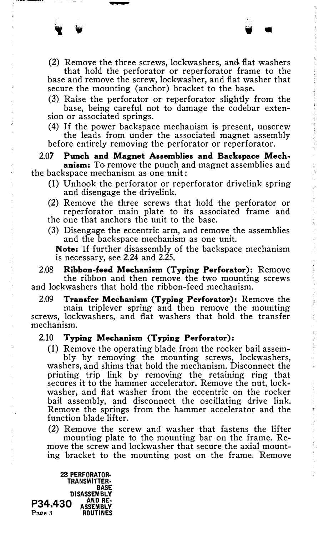• • 'I ..

base and remove the screw, lockwasher, and flat washer that secure the mounting (anchor) bracket to the base.

(3) Raise the perforator or reperforator slightly from the base, being careful not to damage the codebar extension or associated springs.

(4) If the power backspace mechanism is present, unscrew the leads from under the associated magnet assembly before entirely removing the perforator or reperforator.

## 2.07 Punch and Magnet Assemblies and Backspace Mechanism: To remove the punch and magnet assemblies and

the backspace mechanism as one unit:

-

- (1) Unhook the perforator or reperforator drivelink spring and disengage the drivelink.
- (2) Remove the three screws that hold the perforator or reperforator main plate to its associated frame and the one that anchors the unit to the base.
- (3) Disengage the eccentric arm, and remove the assemblies and the backspace mechanism as one unit.

Note: If further disassembly of the backspace mechanism is necessary, see 2.24 and 2.25.

2.08 Ribbon-feed Mechanism (Typing Perforator): Remove the ribbon and then remove the two mounting screws and lockwashers that hold the ribbon-feed mechanism.

2.09 Transfer Mechanism (Typing Perforator): Remove the main triplever spring and then remove the mounting screws, lockwashers, and flat washers that hold the transfer mechanism.

#### 2.10 Typing Mechanism (Typing Perforator):

(1) Remove the operating blade from the rocker bail assem-

 $\label{eq:1.1} \begin{aligned} \mathcal{D}^{\text{max}}_{\text{max}} &\mathcal{D}^{\text{max}}_{\text{max}} &\mathcal{D}^{\text{max}}_{\text{max}} &\mathcal{D}^{\text{max}}_{\text{max}} &\mathcal{D}^{\text{max}}_{\text{max}} &\mathcal{D}^{\text{max}}_{\text{max}} &\mathcal{D}^{\text{max}}_{\text{max}} &\mathcal{D}^{\text{max}}_{\text{max}} &\mathcal{D}^{\text{max}}_{\text{max}} &\mathcal{D}^{\text{max}}_{\text{max}} &\mathcal{D}^{\text{max}}_{\text{$ 

bly by removing the mounting screws, lockwashers, washers, and shims that hold the mechanism. Disconnect the printing trip link by removing the retaining ring that secures it to the hammer accelerator. Remove the nut, lockwasher, and flat washer from the eccentric on the rocker bail assembly, and disconnect the oscillating drive link. Remove the springs from the hammer accelerator and the function blade lifter.

(2) Remove the screw and washer that fastens the lifter mounting plate to the mounting bar on the frame. Remove the screw and lockwasher that secure the axial mounting bracket to the mounting post on the frame. Remove

28 PERFORATOR-TRANSMITTER· BASE DISASSEMBLY P34.430 AND RE-<br>Page 3 ROUTINES **ROUTINES**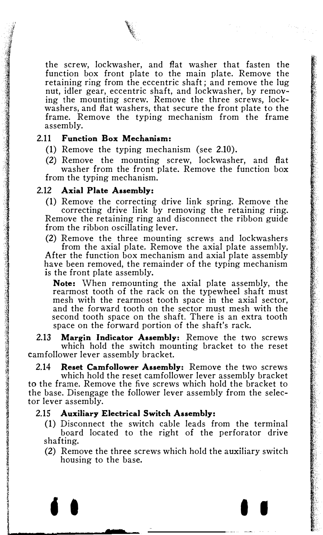the screw, lockwasher, and flat washer that fasten the function box front plate to the main plate. Remove the retaining ring from the eccentric shaft; and remove the lug nut, idler gear, eccentric shaft, and lockwasher, by removing the mounting screw. Remove the three screws, lockwashers, and flat washers, that secure the front plate to the frame. Remove the typing mechanism from the frame assembly.

#### 2.11 Function Box Mechanism:

- (1) Remove the typing mechanism (see 2.10).
- (2) Remove the mounting screw, lockwasher, and flat washer from the front plate. Remove the function box from the typing mechanism.

#### 2.12 Axial Plate Assembly:

(1) Remove the correcting drive link spring. Remove the correcting drive link by removing the retaining ring. Remove the retaining ring and disconnect the ribbon guide from the ribbon oscillating lever.

(2) Remove the three mounting screws and lockwashers from the axial plate. Remove the axial plate assembly. After the function box mechanism and axial plate assembly have been removed, the remainder of the typing mechanism is the front plate assembly.

Note: When remounting the axial plate assembly, the rearmost tooth of the rack on the typewheel shaft must mesh with the rearmost tooth space in the axial sector, and the forward tooth on the sector must mesh with the second tooth space on the shaft. There is an extra tooth space on the forward portion of the shaft's rack.

2.13 Margin Indicator Assembly: Remove the two screws which hold the switch mounting bracket to the reset camfollower lever assembly bracket.

2.14 Reset Camfollower Assembly: Remove the two screws which hold the reset camfollower lever assembly bracket to the frame. Remove the five screws which hold the bracket to the base. Disengage the follower lever assembly from the selector lever assembly.

#### 2.15 Auxiliary Electrical Switch Assembly:

- (1) Disconnect the switch cable leads from the terminal board located to the right of the perforator drive shafting.
- (2) Remove the three screws which hold the auxiliary switch housing to the base.

t I I I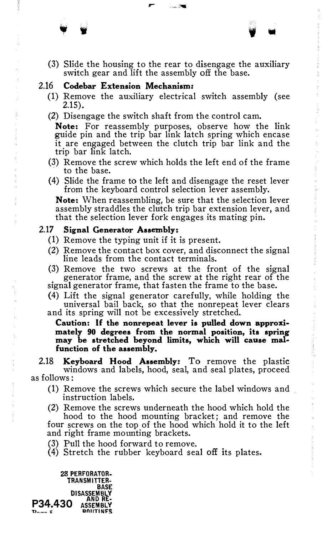(3) Slide the housing to the rear to disengage the auxiliary switch gear and lift the assembly off the base.

• • ' .

## 2.16 Codebar Extension Mechanism:

- (1) Remove the auxiliary electrical switch assembly (see 2.15).
- (2) Disengage the switch shaft from the control cam.

Note: For reassembly purposes, observe how the link guide pin and the trip bar link latch spring which encase it are engaged between the clutch trip bar link and the trip bar link latch.

- (3) Remove the screw which holds the left end of the frame to the base.
- (4) Slide the frame to the left and disengage the reset lever from the keyboard control selection lever assembly.

Note: When reassembling, be sure that the selection lever assembly straddles the clutch trip bar extension lever, and that the selection lever fork engages its mating pin.

## 2.17 Signal Generator Assembly:

- (1) Remove the typing unit if it is present.
- (2) Remove the contact box cover, and disconnect the signal line leads from the contact terminals.
- (3) Remove the two screws at the front of the signal generator frame, and the screw at the right rear of the signal generator frame, that fasten the frame to the base.
- (4) Lift the signal generator carefully, while holding the universal bail back, so that the nonrepeat lever clears
- and its spring will not be excessively stretched.

Caution: If the nonrepeat lever is pulled down approximately 90 degrees from the normal position, its spring may be stretched beyond limits, which will cause malfunction of the assembly.

2.18 Keyboard Hood Assembly: To remove the plastic windows and labels, hood, seal, and seal plates, proceed as follows:

- (1) Remove the screws which secure the label windows and instruction labels.
- (2) Remove the screws underneath the hood which hold the hood to the hood mounting bracket; and remove the four screws on the top of the hood which hold it to the left and right frame mounting brackets.
- (3) Pull the hood forward to remove.
- (4) Stretch the rubber keyboard seal off its plates.

28 PERFORATOR· TRANSMITTER· BASE **DISASSEMBL**<br>AND RE  $P34.430$   $A550$   $A510$ D<sub>oge</sub>r ROUTINFS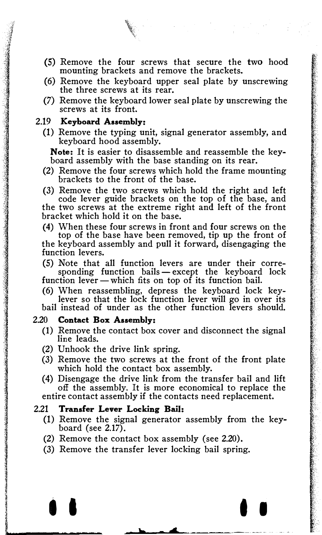

- (5) Remove the four screws that secure the two hood mounting brackets and remove the brackets.
- (6) Remove the keyboard upper seal plate by unscrewing the three screws at its rear.
- (7) Remove the keyboard lower seal plate by unscrewing the screws at its front.

## 2.19 Keyboard Assembly:

(1) Remove the typing unit, signal generator assembly, and keyboard hood assembly.

Note: It is easier to disassemble and reassemble the keyboard assembly with the base standing on its rear.

- (2) Remove the four screws which hold the frame mounting brackets to the front of the base.
- (3) Remove the two screws which hold the right and left code lever guide brackets on the top of the base, and the two screws at the extreme right and left of the front

bracket which hold it on the base.

- (4) When these four screws in front and four screws on the top of the base have been removed, tip up the front of the keyboard assembly and pull it forward, disengaging the function levers.
- (5) Note that all function levers are under their corresponding function bails  $-\text{except}$  the keyboard lock

function lever-which fits on top of its function bail.

(6) When reassembling, depress the keyboard lock keylever so that the lock function lever will go in over its bail instead of under as the other function levers should.

#### 2.20 Contact Box Assembly:

- (1) Remove the contact box cover and disconnect the signal line leads.
- (2) Unhook the drive link spring.
- (3) Remove the two screws at the front of the front plate which hold the contact box assembly.

(4) Disengage the drive link from the transfer bail and lift off the assembly. It is more economical to replace the entire contact assembly if the contacts need replacement.

#### 2.21 Transfer Lever Locking Bail:

ie de Astrologie<br>Geografie

I

(1) Remove the signal generator assembly from the keyboard (see  $2.17$ ).

I I I I

\_ .......... \_\_\_\_ ... \_\_\_\_ �--

----

- (2) Remove the contact box assembly (see 2.20).
- (3) Remove the transfer lever locking bail spring.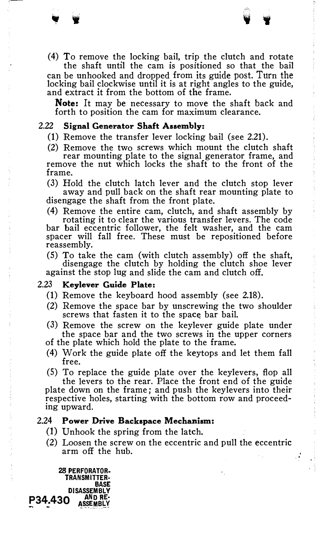the shaft until the cam is positioned so that the bail can be unhooked and dropped from its guide post. Turn the locking bail clockwise until it is at right angles to the guide, and extract it from the bottom of the frame.

Note: It may be necessary to move the shaft back and forth to position the cam for maximum clearance.

## 2.22 Signal Generator Shaft Assembly:

• w

- (1) Remove the transfer lever locking bail (see 2.21).
- (2) Remove the two screws which mount the clutch shaft rear mounting plate to the signal generator frame, and remove the nut which locks the shaft to the front of the frame.

(3) Hold the clutch latch lever and the clutch stop lever away and pull back on the shaft rear mounting plate to disengage the shaft from the front plate.

(4) Remove the entire cam, clutch, and shaft assembly by

rotating it to clear the various transfer levers. The code bar bail eccentric follower, the felt washer, and the cam spacer will fall free. These must be repositioned before reassembly.

(5) To take the cam (with clutch assembly) off the shaft, disengage the clutch by holding the clutch shoe lever against the stop lug and slide the cam and clutch off.

#### 2.23 Keylever Guide Plate:

- (1) Remove the keyboard hood assembly (see 2.18).
- (2) Remove the space bar by unscrewing the two shoulder screws that fasten it to the space bar bail.
- (3) Remove the screw on the keylever guide plate under the space bar and the two screws in the upper corners of the plate which hold the plate to the frame.
- 
- (4) Work the guide plate off the keytops and let them fall free.
- (5) To replace the guide plate over the keylevers, flop all the levers to the rear. Place the front end of the guide

plate down on the frame; and push the key levers into their respective holes, starting with the bottom row and proceeding upward.

#### 2.24 Power Drive Backspace Mechanism:

- (1) Unhook the spring from the latch.
- (2) Loosen the screw on the eccentric and pull the eccentric arm off the hub.

·'

28 PERFORATOR· TRANSMITIER· BASE DISASSEMBLY P34.430 AND RE-